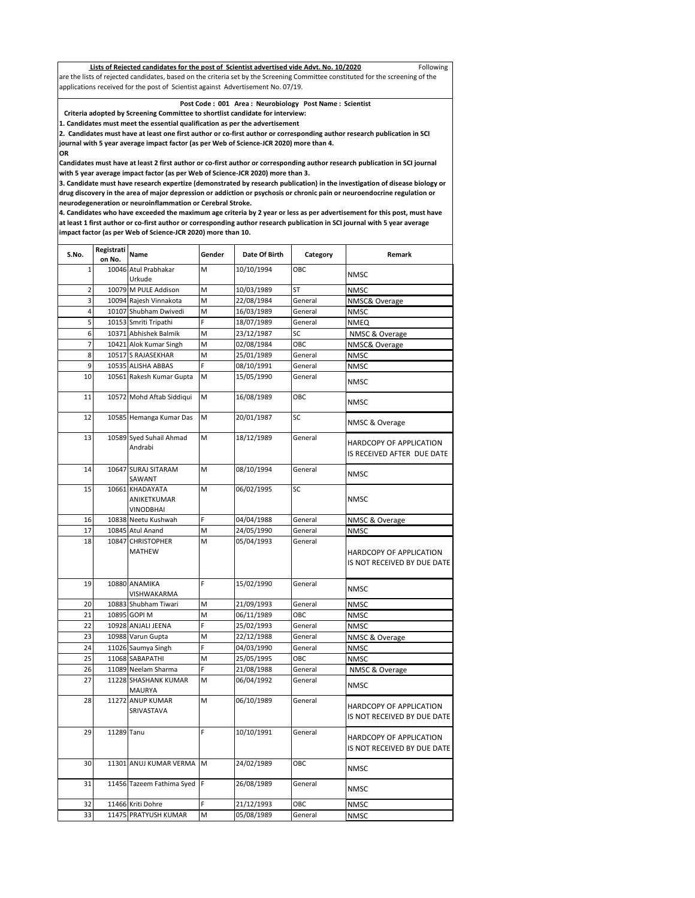| Lists of Rejected candidates for the post of Scientist advertised vide Advt. No. 10/2020                                        | Following |
|---------------------------------------------------------------------------------------------------------------------------------|-----------|
| are the lists of rejected candidates, based on the criteria set by the Screening Committee constituted for the screening of the |           |
| applications received for the post of Scientist against Advertisement No. 07/19.                                                |           |

## **Post Code : 001 Area : Neurobiology Post Name : Scientist**

 **Criteria adopted by Screening Committee to shortlist candidate for interview:**

**1. Candidates must meet the essential qualification as per the advertisement**

**2. Candidates must have at least one first author or co-first author or corresponding author research publication in SCI journal with 5 year average impact factor (as per Web of Science-JCR 2020) more than 4.** 

**OR** 

**Candidates must have at least 2 first author or co-first author or corresponding author research publication in SCI journal with 5 year average impact factor (as per Web of Science-JCR 2020) more than 3.**

**3. Candidate must have research expertize (demonstrated by research publication) in the investigation of disease biology or drug discovery in the area of major depression or addiction or psychosis or chronic pain or neuroendocrine regulation or neurodegeneration or neuroinflammation or Cerebral Stroke.**

**4. Candidates who have exceeded the maximum age criteria by 2 year or less as per advertisement for this post, must have at least 1 first author or co-first author or corresponding author research publication in SCI journal with 5 year average impact factor (as per Web of Science-JCR 2020) more than 10.**

| S.No.          | Registrati<br>on No. | Name                                        | Gender | Date Of Birth | Category  | Remark                                                 |
|----------------|----------------------|---------------------------------------------|--------|---------------|-----------|--------------------------------------------------------|
|                |                      | 10046 Atul Prabhakar                        | M      |               | OBC       |                                                        |
| $\mathbf{1}$   |                      | Urkude                                      |        | 10/10/1994    |           | <b>NMSC</b>                                            |
| $\overline{2}$ |                      | 10079 M PULE Addison                        | M      | 10/03/1989    | <b>ST</b> | <b>NMSC</b>                                            |
| 3              |                      | 10094 Rajesh Vinnakota                      | M      | 22/08/1984    | General   | NMSC& Overage                                          |
| 4              |                      | 10107 Shubham Dwivedi                       | M      | 16/03/1989    | General   | <b>NMSC</b>                                            |
| 5              |                      | 10153 Smriti Tripathi                       | Ë      | 18/07/1989    | General   | <b>NMEQ</b>                                            |
| 6              |                      | 10371 Abhishek Balmik                       | M      | 23/12/1987    | SC        | NMSC & Overage                                         |
| $\overline{7}$ |                      | 10421 Alok Kumar Singh                      | M      | 02/08/1984    | OBC       | NMSC& Overage                                          |
| 8              |                      | 10517 S RAJASEKHAR                          | M      | 25/01/1989    | General   | <b>NMSC</b>                                            |
| 9              |                      | 10535 ALISHA ABBAS                          | Ë      | 08/10/1991    | General   | <b>NMSC</b>                                            |
| 10             |                      | 10561 Rakesh Kumar Gupta                    | M      | 15/05/1990    | General   |                                                        |
|                |                      |                                             |        |               |           | <b>NMSC</b>                                            |
| 11             |                      | 10572 Mohd Aftab Siddiqui                   | M      | 16/08/1989    | OBC       | <b>NMSC</b>                                            |
| 12             | 10585                | Hemanga Kumar Das                           | M      | 20/01/1987    | SC        | NMSC & Overage                                         |
| 13             |                      | 10589 Syed Suhail Ahmad<br>Andrabi          | M      | 18/12/1989    | General   | HARDCOPY OF APPLICATION<br>IS RECEIVED AFTER DUE DATE  |
| 14             |                      | 10647 SURAJ SITARAM<br>SAWANT               | M      | 08/10/1994    | General   | <b>NMSC</b>                                            |
| 15             |                      | 10661 KHADAYATA<br>ANIKETKUMAR<br>VINODBHAI | M      | 06/02/1995    | SC        | <b>NMSC</b>                                            |
| 16             |                      | 10838 Neetu Kushwah                         | F      | 04/04/1988    | General   | NMSC & Overage                                         |
| 17             |                      | 10845 Atul Anand                            | M      | 24/05/1990    | General   | <b>NMSC</b>                                            |
| 18             | 10847                | <b>CHRISTOPHER</b><br><b>MATHEW</b>         | M      | 05/04/1993    | General   | HARDCOPY OF APPLICATION<br>IS NOT RECEIVED BY DUE DATE |
| 19             |                      | 10880 ANAMIKA<br>VISHWAKARMA                | F      | 15/02/1990    | General   | <b>NMSC</b>                                            |
| 20             | 10883                | Shubham Tiwari                              | M      | 21/09/1993    | General   | <b>NMSC</b>                                            |
| 21             |                      | 10895 GOPI M                                | M      | 06/11/1989    | ОВС       | <b>NMSC</b>                                            |
| 22             |                      | 10928 ANJALI JEENA                          | F      | 25/02/1993    | General   | <b>NMSC</b>                                            |
| 23             | 10988                | Varun Gupta                                 | M      | 22/12/1988    | General   | NMSC & Overage                                         |
| 24             |                      | 11026 Saumya Singh                          | Ë      | 04/03/1990    | General   | <b>NMSC</b>                                            |
| 25             |                      | 11068 SABAPATHI                             | M      | 25/05/1995    | ОВС       | <b>NMSC</b>                                            |
| 26             |                      | 11089 Neelam Sharma                         | F      | 21/08/1988    | General   | NMSC & Overage                                         |
| 27             |                      | 11228 SHASHANK KUMAR<br>MAURYA              | M      | 06/04/1992    | General   | <b>NMSC</b>                                            |
| 28             | 11272                | <b>ANUP KUMAR</b><br>SRIVASTAVA             | M      | 06/10/1989    | General   | HARDCOPY OF APPLICATION<br>IS NOT RECEIVED BY DUE DATE |
| 29             | 11289                | Tanu                                        | F      | 10/10/1991    | General   | HARDCOPY OF APPLICATION<br>IS NOT RECEIVED BY DUE DATE |
| 30             |                      | 11301 ANUJ KUMAR VERMA                      | M      | 24/02/1989    | OBC       | <b>NMSC</b>                                            |
| 31             |                      | 11456 Tazeem Fathima Syed                   | F      | 26/08/1989    | General   | <b>NMSC</b>                                            |
| 32             |                      | 11466 Kriti Dohre                           | Ë      | 21/12/1993    | OBC       | <b>NMSC</b>                                            |
| 33             |                      | 11475 PRATYUSH KUMAR                        | M      | 05/08/1989    | General   | <b>NMSC</b>                                            |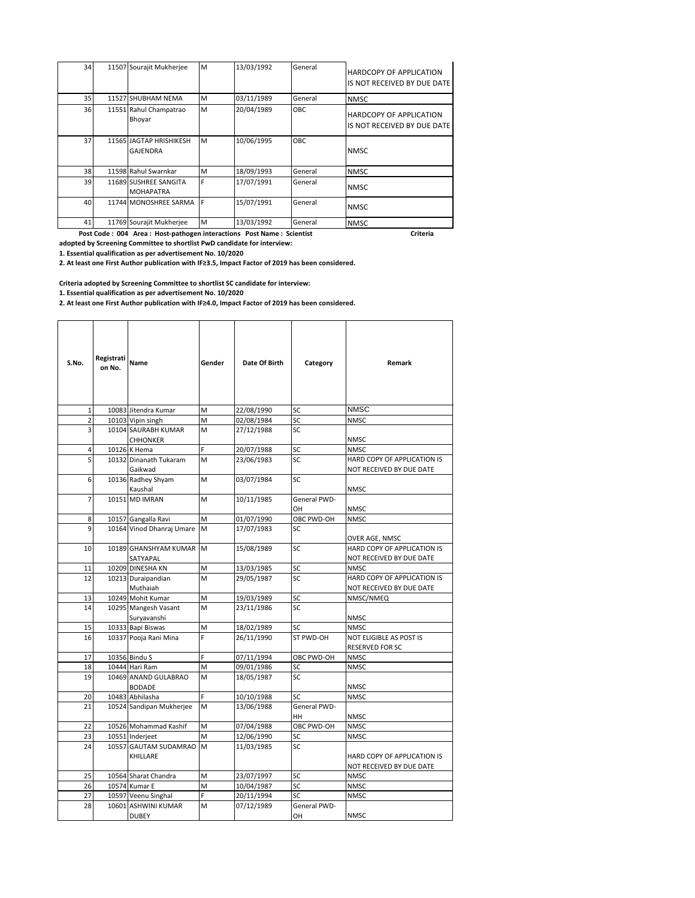| 34 | 11507 Sourajit Mukherjee                  | M   | 13/03/1992 | General | <b>HARDCOPY OF APPLICATION</b><br>IS NOT RECEIVED BY DUE DATE |
|----|-------------------------------------------|-----|------------|---------|---------------------------------------------------------------|
| 35 | 11527 SHUBHAM NEMA                        | M   | 03/11/1989 | General | <b>NMSC</b>                                                   |
| 36 | 11551 Rahul Champatrao<br>Bhoyar          | M   | 20/04/1989 | OBC     | <b>HARDCOPY OF APPLICATION</b><br>IS NOT RECEIVED BY DUE DATE |
| 37 | 11565 JAGTAP HRISHIKESH<br>GAJENDRA       | M   | 10/06/1995 | OBC     | <b>NMSC</b>                                                   |
| 38 | 11598 Rahul Swarnkar                      | M   | 18/09/1993 | General | <b>NMSC</b>                                                   |
| 39 | 11689 SUSHREE SANGITA<br><b>MOHAPATRA</b> | F   | 17/07/1991 | General | <b>NMSC</b>                                                   |
| 40 | 11744 MONOSHREE SARMA                     | IE. | 15/07/1991 | General | <b>NMSC</b>                                                   |
| 41 | 11769 Sourajit Mukherjee                  | M   | 13/03/1992 | General | <b>NMSC</b>                                                   |

 **Post Code : 004 Area : Host-pathogen interactions Post Name : Scientist Criteria Criteria Criteria adopted by Screening Committee to shortlist PwD candidate for interview:**

**1. Essential qualification as per advertisement No. 10/2020**

**2. At least one First Author publication with IF≥3.5, Impact Factor of 2019 has been considered.**

**Criteria adopted by Screening Committee to shortlist SC candidate for interview:**

**1. Essential qualification as per advertisement No. 10/2020**

**2. At least one First Author publication with IF≥4.0, Impact Factor of 2019 has been considered.**

| S.No.          | Registrati<br>on No. | Name                                  | Gender | Date Of Birth | Category           | Remark                                                  |
|----------------|----------------------|---------------------------------------|--------|---------------|--------------------|---------------------------------------------------------|
| $\mathbf{1}$   |                      | 10083 Jitendra Kumar                  | M      | 22/08/1990    | SC                 | <b>NMSC</b>                                             |
| $\overline{2}$ |                      | 10103 Vipin singh                     | M      | 02/08/1984    | SC                 | <b>NMSC</b>                                             |
| 3              |                      | 10104 SAURABH KUMAR                   | M      | 27/12/1988    | SC.                |                                                         |
|                |                      | <b>CHHONKER</b>                       |        |               |                    | <b>NMSC</b>                                             |
| 4              |                      | 10126 K Hema                          | F.     | 20/07/1988    | SC                 | <b>NMSC</b>                                             |
| 5              |                      | 10132 Dinanath Tukaram<br>Gaikwad     | M      | 23/06/1983    | SC                 | HARD COPY OF APPLICATION IS<br>NOT RECEIVED BY DUE DATE |
| 6              |                      | 10136 Radhey Shyam<br>Kaushal         | M      | 03/07/1984    | <b>SC</b>          | <b>NMSC</b>                                             |
| $\overline{7}$ |                      | 10151 MD IMRAN                        | M      | 10/11/1985    | General PWD-<br>OН | <b>NMSC</b>                                             |
| 8              |                      | 10157 Gangalla Ravi                   | M      | 01/07/1990    | OBC PWD-OH         | <b>NMSC</b>                                             |
| 9              |                      | 10164 Vinod Dhanraj Umare             | M      | 17/07/1983    | SC                 | OVER AGE, NMSC                                          |
| 10             |                      | 10189 GHANSHYAM KUMAR M<br>SATYAPAL   |        | 15/08/1989    | SC.                | HARD COPY OF APPLICATION IS<br>NOT RECEIVED BY DUE DATE |
| 11             |                      | 10209 DINESHA KN                      | M      | 13/03/1985    | SC                 | <b>NMSC</b>                                             |
| 12             |                      | 10213 Duraipandian<br>Muthaiah        | M      | 29/05/1987    | SC                 | HARD COPY OF APPLICATION IS<br>NOT RECEIVED BY DUE DATE |
| 13             |                      | 10249 Mohit Kumar                     | M      | 19/03/1989    | SC                 | NMSC/NMEQ                                               |
| 14             |                      | 10295 Mangesh Vasant<br>Suryavanshi   | M      | 23/11/1986    | SC                 | NMSC                                                    |
| 15             |                      | 10333 Bapi Biswas                     | M      | 18/02/1989    | SC                 | <b>NMSC</b>                                             |
| 16             |                      | 10337 Pooja Rani Mina                 | Ë      | 26/11/1990    | ST PWD-OH          | NOT ELIGIBLE AS POST IS<br>RESERVED FOR SC              |
| 17             |                      | 10356 Bindu S                         | Ë      | 07/11/1994    | OBC PWD-OH         | <b>NMSC</b>                                             |
| 18             |                      | 10444 Hari Ram                        | M      | 09/01/1986    | SC                 | <b>NMSC</b>                                             |
| 19             |                      | 10469 ANAND GULABRAO<br><b>BODADE</b> | M      | 18/05/1987    | SC                 | NMSC                                                    |
| 20             |                      | 10483 Abhilasha                       | Ë      | 10/10/1988    | SC.                | NMSC                                                    |
| 21             |                      | 10524 Sandipan Mukherjee              | M      | 13/06/1988    | General PWD-<br>HН | <b>NMSC</b>                                             |
| 22             |                      | 10526 Mohammad Kashif                 | M      | 07/04/1988    | OBC PWD-OH         | <b>NMSC</b>                                             |
| 23             |                      | 10551 Inderjeet                       | M      | 12/06/1990    | SC                 | <b>NMSC</b>                                             |
| 24             | 10557                | <b>GAUTAM SUDAMRAO</b><br>KHILLARE    | M      | 11/03/1985    | SC                 | HARD COPY OF APPLICATION IS<br>NOT RECEIVED BY DUE DATE |
| 25             |                      | 10564 Sharat Chandra                  | M      | 23/07/1997    | SC                 | <b>NMSC</b>                                             |
| 26             |                      | 10574 Kumar E                         | M      | 10/04/1987    | SC                 | <b>NMSC</b>                                             |
| 27             |                      | 10597 Veenu Singhal                   | Ë      | 20/11/1994    | SC.                | <b>NMSC</b>                                             |
| 28             |                      | 10601 ASHWINI KUMAR<br><b>DUBEY</b>   | M      | 07/12/1989    | General PWD-<br>OH | <b>NMSC</b>                                             |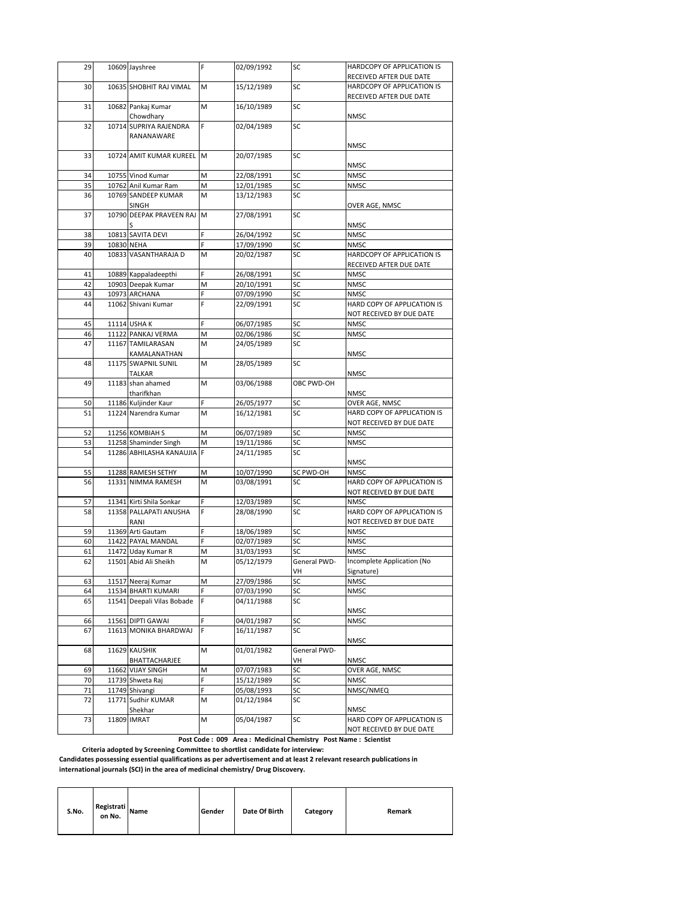| 29       | 10609 Jayshree                          | F      | 02/09/1992               | SC           | HARDCOPY OF APPLICATION IS                            |
|----------|-----------------------------------------|--------|--------------------------|--------------|-------------------------------------------------------|
|          |                                         |        |                          | SC           | RECEIVED AFTER DUE DATE                               |
| 30       | 10635 SHOBHIT RAJ VIMAL                 | M      | 15/12/1989               |              | HARDCOPY OF APPLICATION IS<br>RECEIVED AFTER DUE DATE |
| 31       | 10682 Pankaj Kumar<br>Chowdhary         | M      | 16/10/1989               | SC           | NMSC                                                  |
| 32       | 10714 SUPRIYA RAJENDRA                  | F      | 02/04/1989               | SC           |                                                       |
|          | RANANAWARE                              |        |                          |              |                                                       |
|          |                                         |        |                          |              | NMSC                                                  |
| 33       | 10724 AMIT KUMAR KUREEL M               |        | 20/07/1985               | SC           | <b>NMSC</b>                                           |
| 34       | 10755 Vinod Kumar                       | M      | 22/08/1991               | SC           | <b>NMSC</b>                                           |
| 35       | 10762 Anil Kumar Ram                    | M      | 12/01/1985               | SC           | <b>NMSC</b>                                           |
| 36       | 10769 SANDEEP KUMAR                     | M      | 13/12/1983               | SC           |                                                       |
|          | <b>SINGH</b>                            |        |                          |              | OVER AGE, NMSC                                        |
| 37       | 10790 DEEPAK PRAVEEN RAJ                | M      | 27/08/1991               | SC           | <b>NMSC</b>                                           |
| 38       | 10813 SAVITA DEVI                       | F      | 26/04/1992               | SC           | <b>NMSC</b>                                           |
| 39       | 10830 NEHA                              |        | 17/09/1990               | SC           | NMSC                                                  |
| 40       | 10833 VASANTHARAJA D                    | M      | 20/02/1987               | SC           | HARDCOPY OF APPLICATION IS                            |
|          |                                         |        |                          |              | RECEIVED AFTER DUE DATE                               |
| 41       | 10889 Kappaladeepthi                    | F      | 26/08/1991               | SC           | <b>NMSC</b>                                           |
| 42       | 10903 Deepak Kumar                      | M      | 20/10/1991               | SC           | <b>NMSC</b>                                           |
| 43       | 10973 ARCHANA                           | Ë      | 07/09/1990               | SC           | <b>NMSC</b>                                           |
| 44       | 11062 Shivani Kumar                     | F      | 22/09/1991               | SC           | HARD COPY OF APPLICATION IS                           |
|          |                                         |        |                          |              | NOT RECEIVED BY DUE DATE                              |
| 45       | 11114 USHA K                            | F      | 06/07/1985               | SC           | <b>NMSC</b>                                           |
| 46       | 11122 PANKAJ VERMA                      | М      | 02/06/1986               | SC           | <b>NMSC</b>                                           |
| 47       | 11167 TAMILARASAN                       | M      | 24/05/1989               | SC           |                                                       |
|          | KAMALANATHAN                            |        |                          |              | <b>NMSC</b>                                           |
| 48       | 11175 SWAPNIL SUNIL                     | M      | 28/05/1989               | SC           |                                                       |
|          | TALKAR                                  |        |                          |              | <b>NMSC</b>                                           |
| 49       | 11183 shan ahamed<br>tharifkhan         | M      | 03/06/1988               | OBC PWD-OH   | NMSC                                                  |
| 50       | 11186 Kuljinder Kaur                    | F      | 26/05/1977               | SC           | OVER AGE, NMSC                                        |
| 51       | 11224 Narendra Kumar                    | M      | 16/12/1981               | SC           | HARD COPY OF APPLICATION IS                           |
|          |                                         |        |                          |              | NOT RECEIVED BY DUE DATE                              |
| 52       | 11256 KOMBIAH S                         | M      | 06/07/1989               | SC           | <b>NMSC</b>                                           |
| 53       | 11258 Shaminder Singh                   | М      | 19/11/1986               | SC           | <b>NMSC</b>                                           |
| 54       | 11286 ABHILASHA KANAUJIA                | lF.    | 24/11/1985               | SC           |                                                       |
|          |                                         |        |                          |              | NMSC                                                  |
| 55       | 11288 RAMESH SETHY                      | М      | 10/07/1990               | SC PWD-OH    | NMSC                                                  |
| 56       | 11331 NIMMA RAMESH                      | M      | 03/08/1991               | SC           | HARD COPY OF APPLICATION IS                           |
|          |                                         |        |                          |              | NOT RECEIVED BY DUE DATE                              |
| 57       | 11341 Kirti Shila Sonkar                | F      | 12/03/1989               | SC           | <b>NMSC</b>                                           |
| 58       | 11358 PALLAPATI ANUSHA                  | F      | 28/08/1990               | SC           | HARD COPY OF APPLICATION IS                           |
|          | RANI                                    |        |                          |              | NOT RECEIVED BY DUE DATE                              |
| 59<br>60 | 11369 Arti Gautam<br>11422 PAYAL MANDAL | F<br>F | 18/06/1989<br>02/07/1989 | SC<br>SC     | <b>NMSC</b><br><b>NMSC</b>                            |
| 61       | 11472 Uday Kumar R                      | М      | 31/03/1993               | SC           | NMSC                                                  |
| 62       | 11501 Abid Ali Sheikh                   | M      | 05/12/1979               | General PWD- | Incomplete Application (No                            |
|          |                                         |        |                          | VH           | Signature)                                            |
| 63       | 11517 Neeraj Kumar                      | Μ      | 27/09/1986               | SC           | <b>NMSC</b>                                           |
| 64       | 11534 BHARTI KUMARI                     |        | 07/03/1990               | SC           | NMSC                                                  |
| 65       | 11541 Deepali Vilas Bobade              | F      | 04/11/1988               | SC           |                                                       |
|          |                                         |        |                          |              | <b>NMSC</b>                                           |
| 66       | 11561 DIPTI GAWAI                       | F      | 04/01/1987               | SC           | <b>NMSC</b>                                           |
| 67       | 11613 MONIKA BHARDWAJ                   | F      | 16/11/1987               | SC           | NMSC                                                  |
| 68       | 11629 KAUSHIK                           | M      | 01/01/1982               | General PWD- |                                                       |
|          | BHATTACHARJEE                           |        |                          | VH           | NMSC                                                  |
| 69       | 11662 VIJAY SINGH                       | М      | 07/07/1983               | SC           | OVER AGE, NMSC                                        |
| 70       | 11739 Shweta Raj                        |        | 15/12/1989               | SC           | NMSC                                                  |
| 71       | 11749 Shivangi                          | F      | 05/08/1993               | SC           | NMSC/NMEQ                                             |
| 72       | 11771 Sudhir KUMAR<br>Shekhar           | Μ      | 01/12/1984               | SC           | NMSC                                                  |
| 73       | 11809 IMRAT                             | M      | 05/04/1987               | SC           | HARD COPY OF APPLICATION IS                           |
|          |                                         |        |                          |              | NOT RECEIVED BY DUE DATE                              |
|          |                                         |        |                          |              |                                                       |

 **Post Code : 009 Area : Medicinal Chemistry Post Name : Scientist** 

 **Criteria adopted by Screening Committee to shortlist candidate for interview:**

**Candidates possessing essential qualifications as per advertisement and at least 2 relevant research publications in international journals (SCI) in the area of medicinal chemistry/ Drug Discovery.**

| S.No. | Registrati<br>on No. | <b>Name</b> | Gender | Date Of Birth | Category | Remark |
|-------|----------------------|-------------|--------|---------------|----------|--------|
|-------|----------------------|-------------|--------|---------------|----------|--------|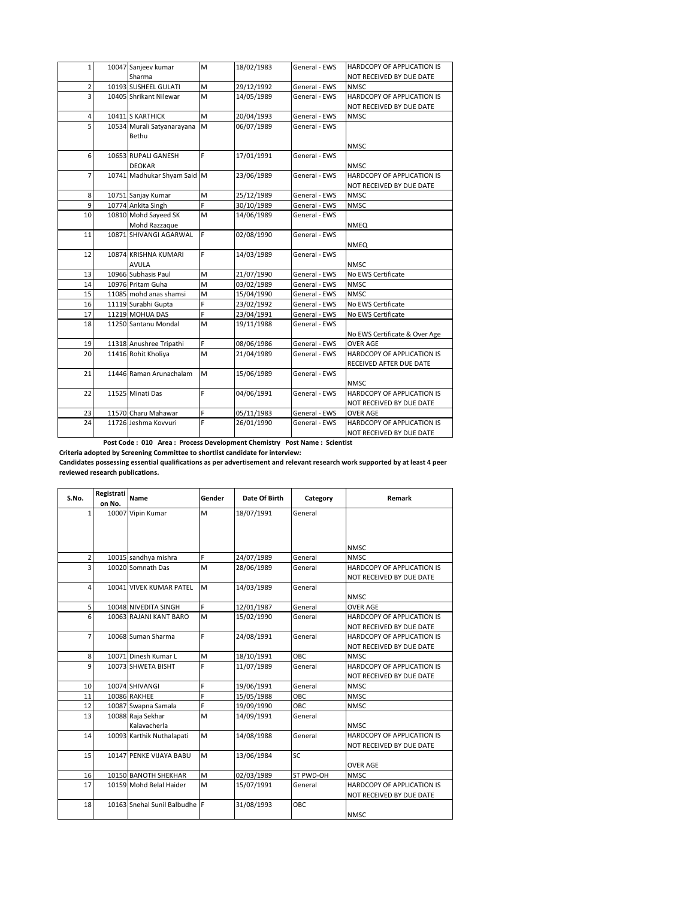| 1              | 10047 Sanjeev kumar         | M | 18/02/1983 | General - EWS | HARDCOPY OF APPLICATION IS    |
|----------------|-----------------------------|---|------------|---------------|-------------------------------|
|                | Sharma                      |   |            |               | NOT RECEIVED BY DUE DATE      |
| $\overline{2}$ | 10193 SUSHEEL GULATI        | M | 29/12/1992 | General - EWS | <b>NMSC</b>                   |
| R              | 10405 Shrikant Nilewar      | M | 14/05/1989 | General - EWS | HARDCOPY OF APPLICATION IS    |
|                |                             |   |            |               | NOT RECEIVED BY DUE DATE      |
| 4              | 10411 S KARTHICK            | M | 20/04/1993 | General - EWS | <b>NMSC</b>                   |
| 5              | 10534 Murali Satyanarayana  | M | 06/07/1989 | General - EWS |                               |
|                | Bethu                       |   |            |               |                               |
|                |                             |   |            |               | <b>NMSC</b>                   |
| 6              | 10653 RUPALI GANESH         | F | 17/01/1991 | General - EWS |                               |
|                | <b>DEOKAR</b>               |   |            |               | <b>NMSC</b>                   |
| $\overline{7}$ | 10741 Madhukar Shyam Said M |   | 23/06/1989 | General - EWS | HARDCOPY OF APPLICATION IS    |
|                |                             |   |            |               | NOT RECEIVED BY DUE DATE      |
| 8              | 10751 Sanjay Kumar          | M | 25/12/1989 | General - EWS | <b>NMSC</b>                   |
| 9              | 10774 Ankita Singh          | Ë | 30/10/1989 | General - EWS | <b>NMSC</b>                   |
| 10             | 10810 Mohd Sayeed SK        | M | 14/06/1989 | General - EWS |                               |
|                | Mohd Razzaque               |   |            |               | <b>NMEQ</b>                   |
| 11             | 10871 SHIVANGI AGARWAL      | F | 02/08/1990 | General - EWS |                               |
|                |                             |   |            |               | <b>NMEQ</b>                   |
| 12             | 10874 KRISHNA KUMARI        | F | 14/03/1989 | General - EWS |                               |
|                | <b>AVULA</b>                |   |            |               | <b>NMSC</b>                   |
| 13             | 10966 Subhasis Paul         | M | 21/07/1990 | General - EWS | No EWS Certificate            |
| 14             | 10976 Pritam Guha           | M | 03/02/1989 | General - EWS | <b>NMSC</b>                   |
| 15             | 11085 mohd anas shamsi      | M | 15/04/1990 | General - EWS | <b>NMSC</b>                   |
| 16             | 11119 Surabhi Gupta         | F | 23/02/1992 | General - EWS | No EWS Certificate            |
| 17             | 11219 MOHUA DAS             | F | 23/04/1991 | General - EWS | No EWS Certificate            |
| 18             | 11250 Santanu Mondal        | M | 19/11/1988 | General - EWS |                               |
|                |                             |   |            |               | No EWS Certificate & Over Age |
| 19             | 11318 Anushree Tripathi     | F | 08/06/1986 | General - EWS | <b>OVER AGE</b>               |
| 20             | 11416 Rohit Kholiya         | M | 21/04/1989 | General - EWS | HARDCOPY OF APPLICATION IS    |
|                |                             |   |            |               | RECEIVED AFTER DUE DATE       |
| 21             | 11446 Raman Arunachalam     | M | 15/06/1989 | General - EWS |                               |
|                |                             |   |            |               | <b>NMSC</b>                   |
| 22             | 11525 Minati Das            | F | 04/06/1991 | General - EWS | HARDCOPY OF APPLICATION IS    |
|                |                             |   |            |               | NOT RECEIVED BY DUE DATE      |
| 23             | 11570 Charu Mahawar         | F | 05/11/1983 | General - EWS | OVER AGE                      |
| 24             | 11726 Jeshma Kovvuri        | F | 26/01/1990 | General - EWS | HARDCOPY OF APPLICATION IS    |
|                |                             |   |            |               | NOT RECEIVED BY DUE DATE      |

 **Post Code : 010 Area : Process Development Chemistry Post Name : Scientist** 

**Criteria adopted by Screening Committee to shortlist candidate for interview:**

**Candidates possessing essential qualifications as per advertisement and relevant research work supported by at least 4 peer reviewed research publications.**

| S.No.                   | Registrati | Name                        | Gender | Date Of Birth | Category  | <b>Remark</b>              |
|-------------------------|------------|-----------------------------|--------|---------------|-----------|----------------------------|
|                         | on No.     |                             |        |               |           |                            |
| 1                       |            | 10007 Vipin Kumar           | M      | 18/07/1991    | General   |                            |
|                         |            |                             |        |               |           |                            |
|                         |            |                             |        |               |           |                            |
|                         |            |                             |        |               |           | <b>NMSC</b>                |
| $\overline{2}$          |            | 10015 sandhya mishra        | F      | 24/07/1989    | General   | NMSC.                      |
| 3                       |            | 10020 Somnath Das           | M      | 28/06/1989    | General   | HARDCOPY OF APPLICATION IS |
|                         |            |                             |        |               |           | NOT RECEIVED BY DUE DATE   |
| $\overline{\mathbf{A}}$ |            | 10041 VIVEK KUMAR PATEL     | M      | 14/03/1989    | General   |                            |
|                         |            |                             |        |               |           | <b>NMSC</b>                |
| 5                       |            | 10048 NIVEDITA SINGH        | F.     | 12/01/1987    | General   | <b>OVER AGE</b>            |
| 6                       |            | 10063 RAJANI KANT BARO      | M      | 15/02/1990    | General   | HARDCOPY OF APPLICATION IS |
|                         |            |                             |        |               |           | NOT RECEIVED BY DUE DATE   |
| 7                       |            | 10068 Suman Sharma          | F      | 24/08/1991    | General   | HARDCOPY OF APPLICATION IS |
|                         |            |                             |        |               |           | NOT RECEIVED BY DUE DATE   |
| 8                       |            | 10071 Dinesh Kumar L        | M      | 18/10/1991    | OBC.      | <b>NMSC</b>                |
| 9                       |            | 10073 SHWETA BISHT          | Ë      | 11/07/1989    | General   | HARDCOPY OF APPLICATION IS |
|                         |            |                             |        |               |           | NOT RECEIVED BY DUE DATE   |
| 10                      |            | 10074 SHIVANGI              | F      | 19/06/1991    | General   | <b>NMSC</b>                |
| 11                      |            | <b>10086 RAKHEE</b>         | Ë      | 15/05/1988    | OBC.      | <b>NMSC</b>                |
| 12                      |            | 10087 Swapna Samala         | Ë      | 19/09/1990    | ОВС       | <b>NMSC</b>                |
| 13                      |            | 10088 Raja Sekhar           | M      | 14/09/1991    | General   |                            |
|                         |            | Kalavacherla                |        |               |           | <b>NMSC</b>                |
| 14                      |            | 10093 Karthik Nuthalapati   | M      | 14/08/1988    | General   | HARDCOPY OF APPLICATION IS |
|                         |            |                             |        |               |           | NOT RECEIVED BY DUE DATE   |
| 15                      |            | 10147 PENKE VIJAYA BABU     | M      | 13/06/1984    | SC        |                            |
|                         |            |                             |        |               |           | <b>OVER AGE</b>            |
| 16                      |            | 10150 BANOTH SHEKHAR        | M      | 02/03/1989    | ST PWD-OH | <b>NMSC</b>                |
| 17                      |            | 10159 Mohd Belal Haider     | M      | 15/07/1991    | General   | HARDCOPY OF APPLICATION IS |
|                         |            |                             |        |               |           | NOT RECEIVED BY DUE DATE   |
| 18                      |            | 10163 Snehal Sunil Balbudhe |        | 31/08/1993    | OBC       |                            |
|                         |            |                             |        |               |           | <b>NMSC</b>                |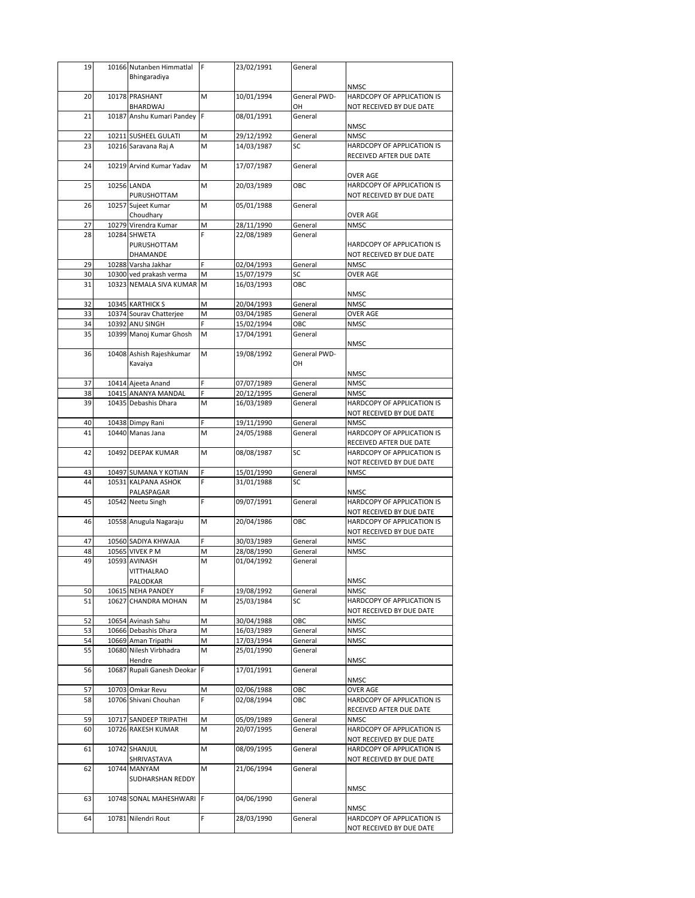| 19       |       | 10166 Nutanben Himmatlal                           | F      | 23/02/1991               | General            |                                                        |
|----------|-------|----------------------------------------------------|--------|--------------------------|--------------------|--------------------------------------------------------|
|          |       | Bhingaradiya                                       |        |                          |                    |                                                        |
| 20       |       | 10178 PRASHANT                                     | M      | 10/01/1994               | General PWD-       | <b>NMSC</b><br>HARDCOPY OF APPLICATION IS              |
|          |       | BHARDWAJ                                           |        |                          | OН                 | NOT RECEIVED BY DUE DATE                               |
| 21       |       | 10187 Anshu Kumari Pandey                          | F      | 08/01/1991               | General            |                                                        |
|          |       |                                                    |        |                          |                    | <b>NMSC</b>                                            |
| 22       |       | 10211 SUSHEEL GULATI                               | M      | 29/12/1992               | General            | <b>NMSC</b>                                            |
| 23       |       | 10216 Saravana Raj A                               | M      | 14/03/1987               | SC                 | HARDCOPY OF APPLICATION IS                             |
| 24       |       | 10219 Arvind Kumar Yadav                           | M      | 17/07/1987               | General            | RECEIVED AFTER DUE DATE                                |
|          |       |                                                    |        |                          |                    | OVER AGE                                               |
| 25       |       | 10256 LANDA                                        | M      | 20/03/1989               | OBC                | HARDCOPY OF APPLICATION IS                             |
|          |       | PURUSHOTTAM                                        |        |                          |                    | NOT RECEIVED BY DUE DATE                               |
| 26       |       | 10257 Sujeet Kumar                                 | M      | 05/01/1988               | General            |                                                        |
| 27       | 10279 | Choudhary<br>Virendra Kumar                        | M      | 28/11/1990               | General            | <b>OVER AGE</b><br><b>NMSC</b>                         |
| 28       |       | 10284 SHWETA                                       | Ë      | 22/08/1989               | General            |                                                        |
|          |       | PURUSHOTTAM                                        |        |                          |                    | HARDCOPY OF APPLICATION IS                             |
|          |       | DHAMANDE                                           |        |                          |                    | NOT RECEIVED BY DUE DATE                               |
| 29       |       | 10288 Varsha Jakhar                                | F      | 02/04/1993               | General            | <b>NMSC</b>                                            |
| 30<br>31 |       | 10300 ved prakash verma<br>10323 NEMALA SIVA KUMAR | М      | 15/07/1979               | SC<br>OBC          | <b>OVER AGE</b>                                        |
|          |       |                                                    | M      | 16/03/1993               |                    | <b>NMSC</b>                                            |
| 32       |       | 10345 KARTHICK S                                   | M      | 20/04/1993               | General            | <b>NMSC</b>                                            |
| 33       |       | 10374 Sourav Chatterjee                            | M      | 03/04/1985               | General            | <b>OVER AGE</b>                                        |
| 34       |       | 10392 ANU SINGH                                    | F      | 15/02/1994               | ОВС                | <b>NMSC</b>                                            |
| 35       |       | 10399 Manoj Kumar Ghosh                            | M      | 17/04/1991               | General            |                                                        |
| 36       |       | 10408 Ashish Rajeshkumar                           | M      | 19/08/1992               | General PWD-       | <b>NMSC</b>                                            |
|          |       | Kavaiya                                            |        |                          | OH                 |                                                        |
|          |       |                                                    |        |                          |                    | <b>NMSC</b>                                            |
| 37       |       | 10414 Ajeeta Anand                                 | F      | 07/07/1989               | General            | <b>NMSC</b>                                            |
| 38       |       | 10415 ANANYA MANDAL                                | F      | 20/12/1995               | General            | <b>NMSC</b>                                            |
| 39       |       | 10435 Debashis Dhara                               | M      | 16/03/1989               | General            | HARDCOPY OF APPLICATION IS                             |
| 40       |       |                                                    | F      |                          | General            | NOT RECEIVED BY DUE DATE                               |
| 41       |       | 10438 Dimpy Rani<br>10440 Manas Jana               | M      | 19/11/1990<br>24/05/1988 | General            | <b>NMSC</b><br>HARDCOPY OF APPLICATION IS              |
|          |       |                                                    |        |                          |                    | RECEIVED AFTER DUE DATE                                |
| 42       |       | 10492 DEEPAK KUMAR                                 | M      | 08/08/1987               | SC                 | HARDCOPY OF APPLICATION IS                             |
|          |       |                                                    |        |                          |                    | NOT RECEIVED BY DUE DATE                               |
| 43<br>44 |       | 10497 SUMANA Y KOTIAN<br>10531 KALPANA ASHOK       | F<br>F | 15/01/1990<br>31/01/1988 | General<br>SC      | <b>NMSC</b>                                            |
|          |       | PALASPAGAR                                         |        |                          |                    | NMSC                                                   |
| 45       |       | 10542 Neetu Singh                                  | F      | 09/07/1991               | General            | HARDCOPY OF APPLICATION IS                             |
|          |       |                                                    |        |                          |                    | NOT RECEIVED BY DUE DATE                               |
| 46       |       | 10558 Anugula Nagaraju                             | м      | 20/04/1986               | OBC                | HARDCOPY OF APPLICATION IS                             |
|          |       |                                                    | F      | 30/03/1989               |                    | NOT RECEIVED BY DUE DATE                               |
| 47<br>48 |       | 10560 SADIYA KHWAJA<br>10565 VIVEK P M             | M      | 28/08/1990               | General<br>General | <b>NMSC</b><br><b>NMSC</b>                             |
| 49       |       | 10593 AVINASH                                      | M      | 01/04/1992               | General            |                                                        |
|          |       | VII I HALRAO                                       |        |                          |                    |                                                        |
|          |       | PALODKAR                                           |        |                          |                    | NMSC                                                   |
| 50       | 10615 | <b>NEHA PANDEY</b>                                 |        | 19/08/1992               | General            | <b>NMSC</b>                                            |
| 51       | 10627 | <b>CHANDRA MOHAN</b>                               | М      | 25/03/1984               | SC                 | HARDCOPY OF APPLICATION IS<br>NOT RECEIVED BY DUE DATE |
| 52       |       | 10654 Avinash Sahu                                 | М      | 30/04/1988               | ОВС                | <b>NMSC</b>                                            |
| 53       |       | 10666 Debashis Dhara                               | M      | 16/03/1989               | General            | <b>NMSC</b>                                            |
| 54       |       | 10669 Aman Tripathi                                | М      | 17/03/1994               | General            | <b>NMSC</b>                                            |
| 55       |       | 10680 Nilesh Virbhadra                             | M      | 25/01/1990               | General            |                                                        |
|          |       | Hendre                                             |        |                          |                    | <b>NMSC</b>                                            |
| 56       | 10687 | Rupali Ganesh Deokar                               | F      | 17/01/1991               | General            | <b>NMSC</b>                                            |
| 57       | 10703 | Omkar Revu                                         | М      | 02/06/1988               | ОВС                | <b>OVER AGE</b>                                        |
| 58       |       | 10706 Shivani Chouhan                              | F      | 02/08/1994               | ОВС                | HARDCOPY OF APPLICATION IS                             |
|          |       |                                                    |        |                          |                    | RECEIVED AFTER DUE DATE                                |
| 59       | 10717 | SANDEEP TRIPATHI                                   | М      | 05/09/1989               | General            | <b>NMSC</b>                                            |
| 60       |       | 10726 RAKESH KUMAR                                 | M      | 20/07/1995               | General            | HARDCOPY OF APPLICATION IS                             |
| 61       |       | 10742 SHANJUL                                      | М      | 08/09/1995               | General            | NOT RECEIVED BY DUE DATE<br>HARDCOPY OF APPLICATION IS |
|          |       | SHRIVASTAVA                                        |        |                          |                    | NOT RECEIVED BY DUE DATE                               |
| 62       |       | 10744 MANYAM                                       | М      | 21/06/1994               | General            |                                                        |
|          |       | SUDHARSHAN REDDY                                   |        |                          |                    |                                                        |
|          |       |                                                    |        |                          |                    | <b>NMSC</b>                                            |
| 63       |       | 10748 SONAL MAHESHWARI                             | F      | 04/06/1990               | General            | NMSC                                                   |
| 64       |       | 10781 Nilendri Rout                                | F      | 28/03/1990               | General            | HARDCOPY OF APPLICATION IS                             |
|          |       |                                                    |        |                          |                    | NOT RECEIVED BY DUE DATE                               |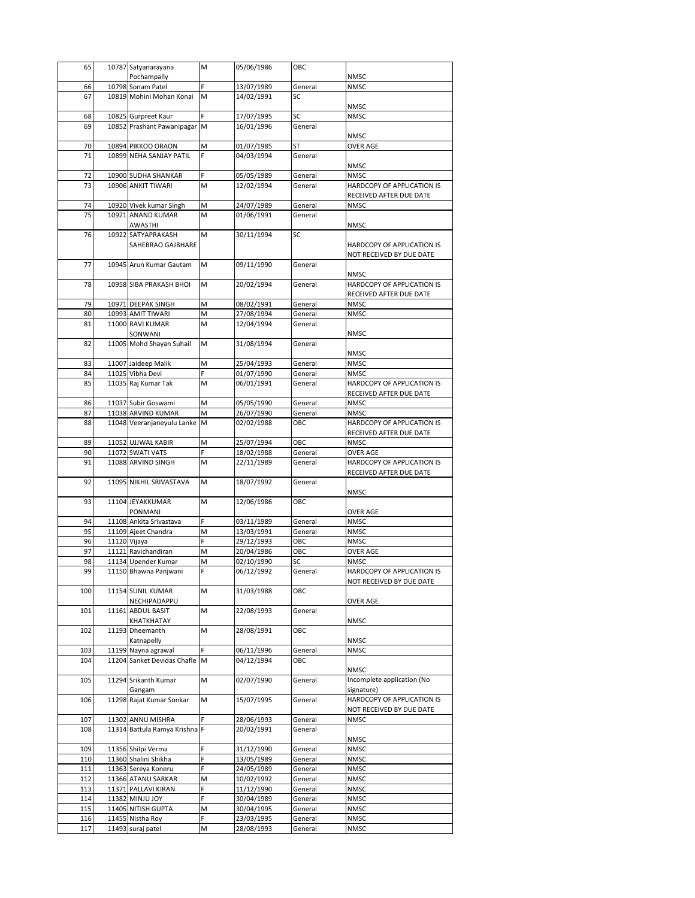| 65         | 10787 Satyanarayana                           | M      | 05/06/1986               | ОВС                |                                                       |
|------------|-----------------------------------------------|--------|--------------------------|--------------------|-------------------------------------------------------|
|            | Pochampally                                   |        |                          |                    | <b>NMSC</b>                                           |
| 66<br>67   | 10798 Sonam Patel<br>10819 Mohini Mohan Konai | M      | 13/07/1989<br>14/02/1991 | General<br>SC      | <b>NMSC</b>                                           |
|            |                                               |        |                          |                    | <b>NMSC</b>                                           |
| 68         | 10825 Gurpreet Kaur                           | F      | 17/07/1995               | SC                 | <b>NMSC</b>                                           |
| 69         | 10852 Prashant Pawanipagar M                  |        | 16/01/1996               | General            |                                                       |
|            |                                               |        |                          |                    | <b>NMSC</b>                                           |
| 70         | 10894 PIKKOO ORAON                            | M      | 01/07/1985               | ST                 | <b>OVER AGE</b>                                       |
| 71         | 10899 NEHA SANJAY PATIL                       | F      | 04/03/1994               | General            | NMSC                                                  |
| 72         | 10900 SUDHA SHANKAR                           | F      | 05/05/1989               | General            | <b>NMSC</b>                                           |
| 73         | 10906 ANKIT TIWARI                            | M      | 12/02/1994               | General            | HARDCOPY OF APPLICATION IS                            |
|            |                                               |        |                          |                    | RECEIVED AFTER DUE DATE                               |
| 74         | 10920 Vivek kumar Singh                       | М      | 24/07/1989               | General            | <b>NMSC</b>                                           |
| 75         | 10921 ANAND KUMAR                             | M      | 01/06/1991               | General            |                                                       |
| 76         | AWASTHI<br>10922 SATYAPRAKASH                 | M      | 30/11/1994               | SC                 | NMSC                                                  |
|            | SAHEBRAO GAJBHARE                             |        |                          |                    | HARDCOPY OF APPLICATION IS                            |
|            |                                               |        |                          |                    | NOT RECEIVED BY DUE DATE                              |
| 77         | 10945 Arun Kumar Gautam                       | M      | 09/11/1990               | General            |                                                       |
|            |                                               |        |                          |                    | NMSC                                                  |
| 78         | 10958 SIBA PRAKASH BHOI                       | M      | 20/02/1994               | General            | HARDCOPY OF APPLICATION IS                            |
| 79         | 10971 DEEPAK SINGH                            | M      | 08/02/1991               | General            | RECEIVED AFTER DUE DATE<br>NMSC                       |
| 80         | 10993 AMIT TIWARI                             | M      | 27/08/1994               | General            | NMSC                                                  |
| 81         | 11000 RAVI KUMAR                              | M      | 12/04/1994               | General            |                                                       |
|            | SONWANI                                       |        |                          |                    | NMSC                                                  |
| 82         | 11005 Mohd Shayan Suhail                      | M      | 31/08/1994               | General            |                                                       |
|            |                                               |        |                          |                    | NMSC                                                  |
| 83<br>84   | 11007 Jaideep Malik<br>11025 Vibha Devi       | М<br>F | 25/04/1993<br>01/07/1990 | General<br>General | NMSC<br><b>NMSC</b>                                   |
| 85         | 11035 Raj Kumar Tak                           | M      | 06/01/1991               | General            | HARDCOPY OF APPLICATION IS                            |
|            |                                               |        |                          |                    | RECEIVED AFTER DUE DATE                               |
| 86         | 11037 Subir Goswami                           | M      | 05/05/1990               | General            | <b>NMSC</b>                                           |
| 87         | 11038 ARVIND KUMAR                            | M      | 26/07/1990               | General            | <b>NMSC</b>                                           |
| 88         | 11048 Veeranjaneyulu Lanke M                  |        | 02/02/1988               | ОВС                | HARDCOPY OF APPLICATION IS                            |
|            |                                               |        |                          |                    | RECEIVED AFTER DUE DATE                               |
| 89<br>90   | 11052 UJJWAL KABIR<br>11072 SWATI VATS        | M<br>F | 25/07/1994<br>18/02/1988 | ОВС<br>General     | NMSC<br>OVER AGE                                      |
|            |                                               |        |                          |                    |                                                       |
|            |                                               |        |                          |                    |                                                       |
| 91         | 11088 ARVIND SINGH                            | М      | 22/11/1989               | General            | HARDCOPY OF APPLICATION IS<br>RECEIVED AFTER DUE DATE |
| 92         | 11095 NIKHIL SRIVASTAVA                       | M      | 18/07/1992               | General            |                                                       |
|            |                                               |        |                          |                    | <b>NMSC</b>                                           |
| 93         | 11104 JEYAKKUMAR                              | M      | 12/06/1986               | ОВС                |                                                       |
|            | PONMANI                                       |        |                          |                    | <b>OVER AGE</b>                                       |
| 94<br>95   | 11108 Ankita Srivastava                       | F<br>M | 03/11/1989               | General<br>General | NMSC<br>NMSC                                          |
| 96         | 11109 Ajeet Chandra<br>11120 Vijaya           | Ė      | 13/03/1991<br>29/12/1993 | ОВС                | <b>NMSC</b>                                           |
| 97         | 11121 Ravichandiran                           | Μ      | 20/04/1986               | ОВС                | OVER AGE                                              |
| 98         | 11134 Upender Kumar                           | M      | 02/10/1990               | SC                 | <b>NMSC</b>                                           |
| 99         | 11150 Bhawna Panjwani                         |        | 06/12/1992               | General            | HARDCOPY OF APPLICATION IS                            |
|            |                                               |        |                          |                    | NOT RECEIVED BY DUE DATE                              |
| 100        | 11154 SUNIL KUMAR                             | M      | 31/03/1988               | ОВС                |                                                       |
| 101        | NECHIPADAPPU<br>11161 ABDUL BASIT             | М      | 22/08/1993               | General            | OVER AGE                                              |
|            | KHATKHATAY                                    |        |                          |                    | NMSC                                                  |
| 102        | 11193 Dheemanth                               | М      | 28/08/1991               | ОВС                |                                                       |
|            | Katnapelly                                    |        |                          |                    | NMSC                                                  |
| 103        | 11199 Nayna agrawal                           | F      | 06/11/1996               | General            | <b>NMSC</b>                                           |
| 104        | 11204 Sanket Devidas Chafle M                 |        | 04/12/1994               | ОВС                | <b>NMSC</b>                                           |
| 105        | 11294 Srikanth Kumar                          | м      | 02/07/1990               | General            | Incomplete application (No                            |
|            | Gangam                                        |        |                          |                    | signature)                                            |
| 106        | 11298 Rajat Kumar Sonkar                      | M      | 15/07/1995               | General            | HARDCOPY OF APPLICATION IS                            |
|            |                                               |        |                          |                    | NOT RECEIVED BY DUE DATE                              |
| 107        | 11302 ANNU MISHRA                             |        | 28/06/1993               | General            | NMSC                                                  |
| 108        | 11314 Battula Ramya Krishna F                 |        | 20/02/1991               | General            | <b>NMSC</b>                                           |
| 109        | 11356 Shilpi Verma                            | F      | 31/12/1990               | General            | <b>NMSC</b>                                           |
| 110        | 11360 Shalini Shikha                          | F      | 13/05/1989               | General            | <b>NMSC</b>                                           |
| 111        | 11363 Sereya Koneru                           |        | 24/05/1989               | General            | <b>NMSC</b>                                           |
| 112        | 11366 ATANU SARKAR                            | М      | 10/02/1992               | General            | <b>NMSC</b>                                           |
| 113        | 11371 PALLAVI KIRAN                           | F      | 11/12/1990               | General            | <b>NMSC</b>                                           |
| 114        | 11382 MINJU JOY                               | F      | 30/04/1989               | General            | <b>NMSC</b>                                           |
| 115        | 11405 NITISH GUPTA                            | М      | 30/04/1995               | General            | <b>NMSC</b>                                           |
| 116<br>117 | 11455 Nistha Roy<br>11493 suraj patel         | М      | 23/03/1995<br>28/08/1993 | General<br>General | <b>NMSC</b><br>NMSC                                   |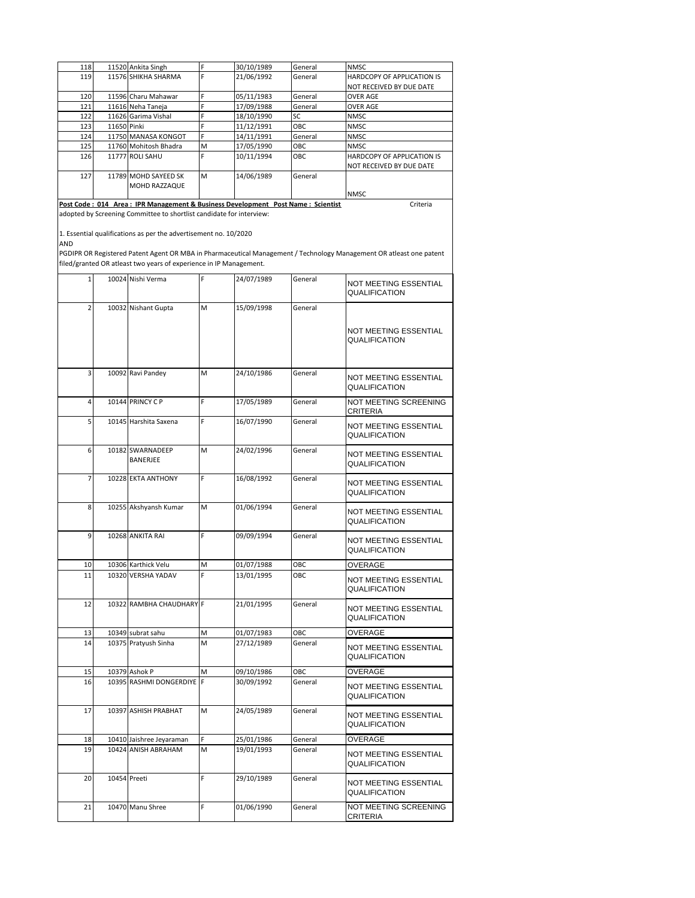| 118 |             | 11520 Ankita Singh                                                              |   | 30/10/1989 | General    | <b>NMSC</b>                       |
|-----|-------------|---------------------------------------------------------------------------------|---|------------|------------|-----------------------------------|
| 119 |             | 11576 SHIKHA SHARMA                                                             | E | 21/06/1992 | General    | <b>HARDCOPY OF APPLICATION IS</b> |
|     |             |                                                                                 |   |            |            | <b>NOT RECEIVED BY DUE DATE</b>   |
| 120 |             | 11596 Charu Mahawar                                                             |   | 05/11/1983 | General    | <b>OVER AGE</b>                   |
| 121 |             | 11616 Neha Taneja                                                               |   | 17/09/1988 | General    | <b>OVER AGE</b>                   |
| 122 |             | 11626 Garima Vishal                                                             |   | 18/10/1990 | <b>SC</b>  | <b>NMSC</b>                       |
| 123 | 11650 Pinki |                                                                                 |   | 11/12/1991 | <b>OBC</b> | <b>NMSC</b>                       |
| 124 |             | 11750 MANASA KONGOT                                                             |   | 14/11/1991 | General    | <b>NMSC</b>                       |
| 125 |             | 11760 Mohitosh Bhadra                                                           | M | 17/05/1990 | <b>OBC</b> | <b>NMSC</b>                       |
| 126 |             | 11777 ROLLSAHU                                                                  |   | 10/11/1994 | OBC        | <b>HARDCOPY OF APPLICATION IS</b> |
|     |             |                                                                                 |   |            |            | <b>NOT RECEIVED BY DUE DATE</b>   |
| 127 |             | 11789 MOHD SAYEED SK                                                            | M | 14/06/1989 | General    |                                   |
|     |             | <b>MOHD RAZZAQUE</b>                                                            |   |            |            |                                   |
|     |             |                                                                                 |   |            |            | <b>NMSC</b>                       |
|     |             | Post Code: 014 Area: IPR Management & Business Development Post Name: Scientist |   |            |            | Criteria                          |

adopted by Screening Committee to shortlist candidate for interview:

1. Essential qualifications as per the advertisement no. 10/2020

AND

PGDIPR OR Registered Patent Agent OR MBA in Pharmaceutical Management / Technology Management OR atleast one patent filed/granted OR atleast two years of experience in IP Management.

| $\mathbf{1}$   | 10024 Nishi Verma            | F | 24/07/1989 | General | NOT MEETING ESSENTIAL<br><b>QUALIFICATION</b>        |
|----------------|------------------------------|---|------------|---------|------------------------------------------------------|
| $\overline{2}$ | 10032 Nishant Gupta          | M | 15/09/1998 | General | NOT MEETING ESSENTIAL<br><b>QUALIFICATION</b>        |
| 3              | 10092 Ravi Pandey            | M | 24/10/1986 | General | <b>NOT MEETING ESSENTIAL</b><br><b>QUALIFICATION</b> |
| 4              | 10144 PRINCY C P             | F | 17/05/1989 | General | NOT MEETING SCREENING<br><b>CRITERIA</b>             |
| 5              | 10145 Harshita Saxena        | F | 16/07/1990 | General | <b>NOT MEETING ESSENTIAL</b><br>QUALIFICATION        |
| 6              | 10182 SWARNADEEP<br>BANERJEE | M | 24/02/1996 | General | <b>NOT MEETING ESSENTIAL</b><br><b>QUALIFICATION</b> |
| 7              | 10228 EKTA ANTHONY           | F | 16/08/1992 | General | NOT MEETING ESSENTIAL<br><b>QUALIFICATION</b>        |
| 8              | 10255 Akshyansh Kumar        | M | 01/06/1994 | General | <b>NOT MEETING ESSENTIAL</b><br><b>QUALIFICATION</b> |
| 9              | 10268 ANKITA RAI             | F | 09/09/1994 | General | NOT MEETING ESSENTIAL<br>QUALIFICATION               |
| 10             | 10306 Karthick Velu          | M | 01/07/1988 | ОВС     | <b>OVERAGE</b>                                       |
| 11             | 10320 VERSHA YADAV           | F | 13/01/1995 | OBC     | NOT MEETING ESSENTIAL<br>QUALIFICATION               |
| 12             | 10322 RAMBHA CHAUDHARY F     |   | 21/01/1995 | General | NOT MEETING ESSENTIAL<br>QUALIFICATION               |
| 13             | 10349 subrat sahu            | M | 01/07/1983 | ОВС     | <b>OVERAGE</b>                                       |
| 14             | 10375 Pratyush Sinha         | M | 27/12/1989 | General | NOT MEETING ESSENTIAL<br>QUALIFICATION               |
| 15             | 10379 Ashok P                | M | 09/10/1986 | ОВС     | OVERAGE                                              |
| 16             | 10395 RASHMI DONGERDIYE      | F | 30/09/1992 | General | NOT MEETING ESSENTIAL<br>QUALIFICATION               |
| 17             | 10397 ASHISH PRABHAT         | M | 24/05/1989 | General | NOT MEETING ESSENTIAL<br><b>QUALIFICATION</b>        |
| 18             | 10410 Jaishree Jeyaraman     | F | 25/01/1986 | General | OVERAGE                                              |
| 19             | 10424 ANISH ABRAHAM          | M | 19/01/1993 | General | NOT MEETING ESSENTIAL<br>QUALIFICATION               |
| 20             | 10454 Preeti                 | F | 29/10/1989 | General | <b>NOT MEETING ESSENTIAL</b><br>QUALIFICATION        |
| 21             | 10470 Manu Shree             | Ë | 01/06/1990 | General | NOT MEETING SCREENING<br><b>CRITERIA</b>             |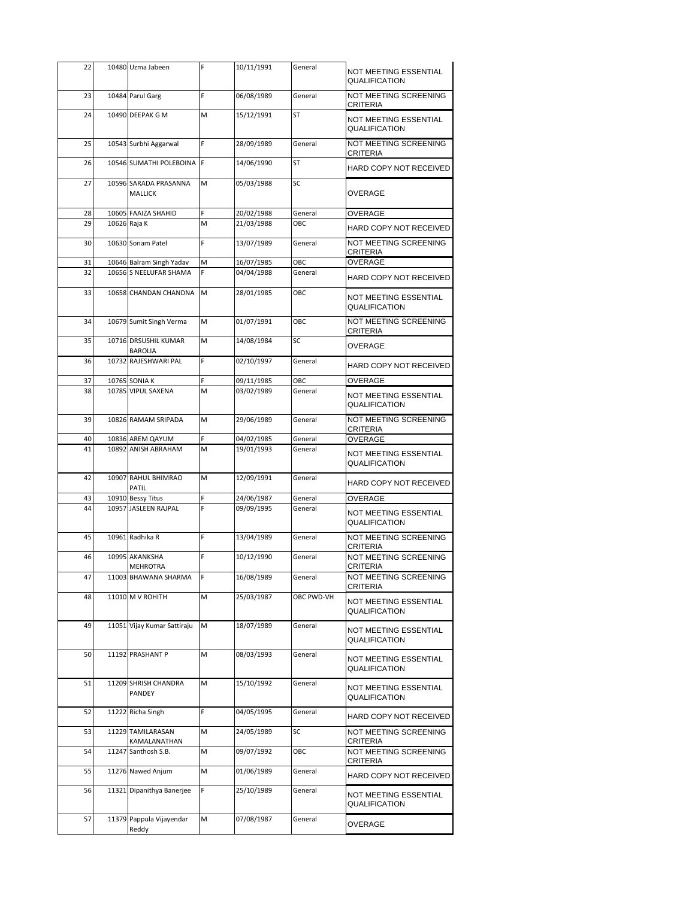| 22 |       | 10480 Uzma Jabeen                       |    | 10/11/1991 | General    | NOT MEETING ESSENTIAL<br><b>QUALIFICATION</b> |
|----|-------|-----------------------------------------|----|------------|------------|-----------------------------------------------|
| 23 |       | 10484 Parul Garg                        | F  | 06/08/1989 | General    | NOT MEETING SCREENING<br><b>CRITERIA</b>      |
| 24 |       | 10490 DEEPAK G M                        | M  | 15/12/1991 | <b>ST</b>  | NOT MEETING ESSENTIAL<br><b>QUALIFICATION</b> |
| 25 |       | 10543 Surbhi Aggarwal                   | F  | 28/09/1989 | General    | NOT MEETING SCREENING<br><b>CRITERIA</b>      |
| 26 |       | 10546 SUMATHI POLEBOINA                 | F  | 14/06/1990 | <b>ST</b>  | HARD COPY NOT RECEIVED                        |
| 27 |       | 10596 SARADA PRASANNA<br><b>MALLICK</b> | M  | 05/03/1988 | SC         | OVERAGE                                       |
| 28 |       | 10605 FAAIZA SHAHID                     | F  | 20/02/1988 | General    | OVERAGE                                       |
| 29 |       | 10626 Raja K                            | M  | 21/03/1988 | OBC        | HARD COPY NOT RECEIVED                        |
| 30 |       | 10630 Sonam Patel                       | F  | 13/07/1989 | General    | NOT MEETING SCREENING<br>CRITERIA             |
| 31 |       | 10646 Balram Singh Yadav                | M  | 16/07/1985 | OBC        | <b>OVERAGE</b>                                |
| 32 |       | 10656 S NEELUFAR SHAMA                  | F  | 04/04/1988 | General    | HARD COPY NOT RECEIVED                        |
| 33 |       | 10658 CHANDAN CHANDNA                   | M  | 28/01/1985 | OBC        | NOT MEETING ESSENTIAL<br>QUALIFICATION        |
| 34 |       | 10679 Sumit Singh Verma                 | м  | 01/07/1991 | OBC        | NOT MEETING SCREENING<br>CRITERIA             |
| 35 |       | 10716 DRSUSHIL KUMAR<br><b>BAROLIA</b>  | M  | 14/08/1984 | SC         | <b>OVERAGE</b>                                |
| 36 |       | 10732 RAJESHWARI PAL                    | F  | 02/10/1997 | General    | HARD COPY NOT RECEIVED                        |
| 37 |       | 10765 SONIA K                           | F  | 09/11/1985 | ОВС        | OVERAGE                                       |
| 38 |       | 10785 VIPUL SAXENA                      | M  | 03/02/1989 | General    | NOT MEETING ESSENTIAL<br><b>QUALIFICATION</b> |
| 39 |       | 10826 RAMAM SRIPADA                     | М  | 29/06/1989 | General    | NOT MEETING SCREENING<br><b>CRITERIA</b>      |
| 40 |       | 10836 AREM QAYUM                        | F  | 04/02/1985 | General    | <b>OVERAGE</b>                                |
| 41 |       | 10892 ANISH ABRAHAM                     | M  | 19/01/1993 | General    | NOT MEETING ESSENTIAL<br>QUALIFICATION        |
| 42 |       | 10907 RAHUL BHIMRAO<br>PATIL            | M  | 12/09/1991 | General    | HARD COPY NOT RECEIVED                        |
| 43 |       | 10910 Bessy Titus                       | F  | 24/06/1987 | General    | OVERAGE                                       |
| 44 |       | 10957 JASLEEN RAJPAL                    | F  | 09/09/1995 | General    | NOT MEETING ESSENTIAL<br><b>QUALIFICATION</b> |
| 45 |       | 10961 Radhika R                         | F  | 13/04/1989 | General    | NOT MEETING SCREENING<br>CRITERIA             |
| 46 |       | 10995 AKANKSHA<br><b>MEHROTRA</b>       | F  | 10/12/1990 | General    | NOT MEETING SCREENING<br><b>CRITERIA</b>      |
| 47 |       | 11003 BHAWANA SHARMA                    | IF | 16/08/1989 | General    | NOT MEETING SCREENING<br><b>CRITERIA</b>      |
| 48 |       | 11010 M V ROHITH                        | М  | 25/03/1987 | OBC PWD-VH | NOT MEETING ESSENTIAL<br>QUALIFICATION        |
| 49 |       | 11051 Vijay Kumar Sattiraju             | M  | 18/07/1989 | General    | NOT MEETING ESSENTIAL<br><b>QUALIFICATION</b> |
| 50 |       | 11192 PRASHANT P                        | M  | 08/03/1993 | General    | NOT MEETING ESSENTIAL<br><b>QUALIFICATION</b> |
| 51 |       | 11209 SHRISH CHANDRA<br>PANDEY          | М  | 15/10/1992 | General    | NOT MEETING ESSENTIAL<br><b>QUALIFICATION</b> |
| 52 |       | 11222 Richa Singh                       | F  | 04/05/1995 | General    | HARD COPY NOT RECEIVED                        |
| 53 |       | 11229 TAMILARASAN<br>KAMALANATHAN       | M  | 24/05/1989 | SC         | NOT MEETING SCREENING<br><b>CRITERIA</b>      |
| 54 | 11247 | Santhosh S.B.                           | М  | 09/07/1992 | ОВС        | NOT MEETING SCREENING<br>CRITERIA             |
| 55 |       | 11276 Nawed Anjum                       | м  | 01/06/1989 | General    | HARD COPY NOT RECEIVED                        |
| 56 |       | 11321 Dipanithya Banerjee               | F  | 25/10/1989 | General    | NOT MEETING ESSENTIAL<br>QUALIFICATION        |
| 57 |       | 11379 Pappula Vijayendar<br>Reddy       | М  | 07/08/1987 | General    | OVERAGE                                       |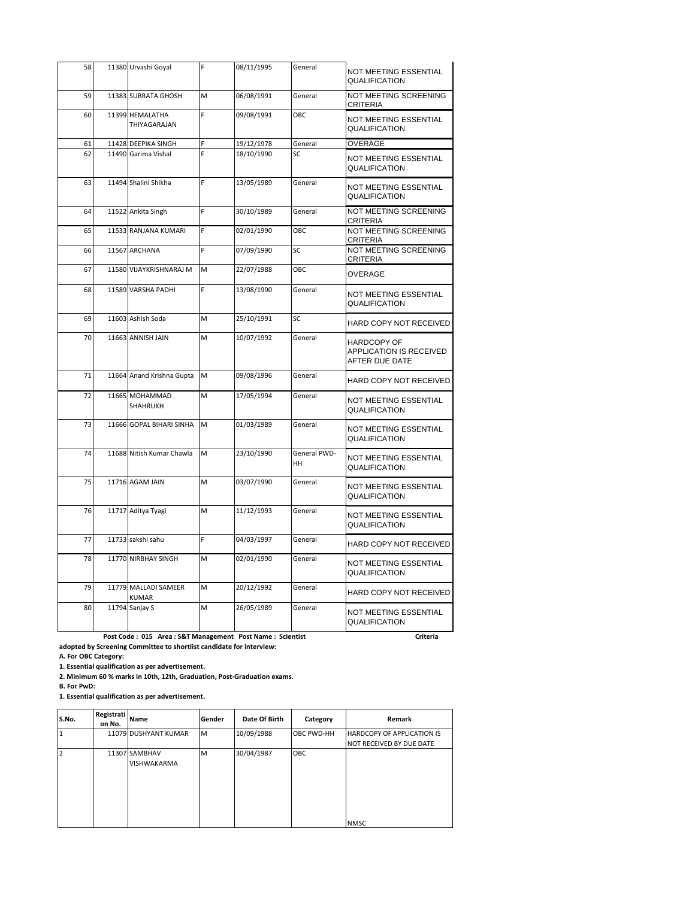| 58 |       | 11380 Urvashi Goyal                  |   | 08/11/1995 | General                   | NOT MEETING ESSENTIAL<br><b>QUALIFICATION</b>                   |
|----|-------|--------------------------------------|---|------------|---------------------------|-----------------------------------------------------------------|
| 59 |       | 11383 SUBRATA GHOSH                  | M | 06/08/1991 | General                   | NOT MEETING SCREENING<br><b>CRITERIA</b>                        |
| 60 |       | 11399 HEMALATHA<br>THIYAGARAJAN      | F | 09/08/1991 | OBC.                      | NOT MEETING ESSENTIAL<br>QUALIFICATION                          |
| 61 |       | 11428 DEEPIKA SINGH                  | F | 19/12/1978 | General                   | OVERAGE                                                         |
| 62 |       | 11490 Garima Vishal                  | F | 18/10/1990 | SC                        | <b>NOT MEETING ESSENTIAL</b><br>QUALIFICATION                   |
| 63 |       | 11494 Shalini Shikha                 | F | 13/05/1989 | General                   | <b>NOT MEETING ESSENTIAL</b><br>QUALIFICATION                   |
| 64 |       | 11522 Ankita Singh                   | F | 30/10/1989 | General                   | NOT MEETING SCREENING<br><b>CRITERIA</b>                        |
| 65 |       | 11533 RANJANA KUMARI                 | Ë | 02/01/1990 | OBC                       | NOT MEETING SCREENING<br><b>CRITERIA</b>                        |
| 66 |       | 11567 ARCHANA                        | F | 07/09/1990 | SC                        | NOT MEETING SCREENING<br><b>CRITERIA</b>                        |
| 67 | 11580 | VIJAYKRISHNARAJ M                    | M | 22/07/1988 | OBC                       | OVERAGE                                                         |
| 68 |       | 11589 VARSHA PADHI                   | F | 13/08/1990 | General                   | <b>NOT MEETING ESSENTIAL</b><br>QUALIFICATION                   |
| 69 |       | 11603 Ashish Soda                    | M | 25/10/1991 | SC                        | HARD COPY NOT RECEIVED                                          |
| 70 |       | 11663 ANNISH JAIN                    | M | 10/07/1992 | General                   | <b>HARDCOPY OF</b><br>APPLICATION IS RECEIVED<br>AFTER DUE DATE |
| 71 |       | 11664 Anand Krishna Gupta            | M | 09/08/1996 | General                   | HARD COPY NOT RECEIVED                                          |
| 72 |       | 11665 MOHAMMAD<br>SHAHRUKH           | M | 17/05/1994 | General                   | <b>NOT MEETING ESSENTIAL</b><br>QUALIFICATION                   |
| 73 |       | 11666 GOPAL BIHARI SINHA             | M | 01/03/1989 | General                   | NOT MEETING ESSENTIAL<br><b>QUALIFICATION</b>                   |
| 74 |       | 11688 Nitish Kumar Chawla            | M | 23/10/1990 | General PWD-<br><b>HH</b> | NOT MEETING ESSENTIAL<br><b>QUALIFICATION</b>                   |
| 75 |       | 11716 AGAM JAIN                      | M | 03/07/1990 | General                   | <b>NOT MEETING ESSENTIAL</b><br><b>QUALIFICATION</b>            |
| 76 |       | 11717 Aditya Tyagi                   | M | 11/12/1993 | General                   | NOT MEETING ESSENTIAL<br>QUALIFICATION                          |
| 77 |       | 11733 sakshi sahu                    | F | 04/03/1997 | General                   | HARD COPY NOT RECEIVED                                          |
| 78 |       | 11770 NIRBHAY SINGH                  | M | 02/01/1990 | General                   | NOT MEETING ESSENTIAL<br>QUALIFICATION                          |
| 79 |       | 11779 MALLADI SAMEER<br><b>KUMAR</b> | M | 20/12/1992 | General                   | HARD COPY NOT RECEIVED                                          |
| 80 |       | 11794 Sanjay S                       | M | 26/05/1989 | General                   | NOT MEETING ESSENTIAL<br><b>QUALIFICATION</b>                   |

 **Post Code : 015 Area : S&T Management Post Name : Scientist Criteria Criteria Criteria Criteria adopted by Screening Committee to shortlist candidate for interview:**

**A. For OBC Category:**

**1. Essential qualification as per advertisement.**

**2. Minimum 60 % marks in 10th, 12th, Graduation, Post-Graduation exams.**

**B. For PwD:**

**1. Essential qualification as per advertisement.**

| S.No. | Registrati<br>on No. | Name                                | Gender | Date Of Birth | Category   | <b>Remark</b>                     |
|-------|----------------------|-------------------------------------|--------|---------------|------------|-----------------------------------|
|       |                      | 11079 DUSHYANT KUMAR                | M      | 10/09/1988    | OBC PWD-HH | <b>HARDCOPY OF APPLICATION IS</b> |
|       |                      | 11307 SAMBHAV<br><b>VISHWAKARMA</b> | M      | 30/04/1987    | OBC        | NOT RECEIVED BY DUE DATE          |
|       |                      |                                     |        |               |            | <b>NMSC</b>                       |